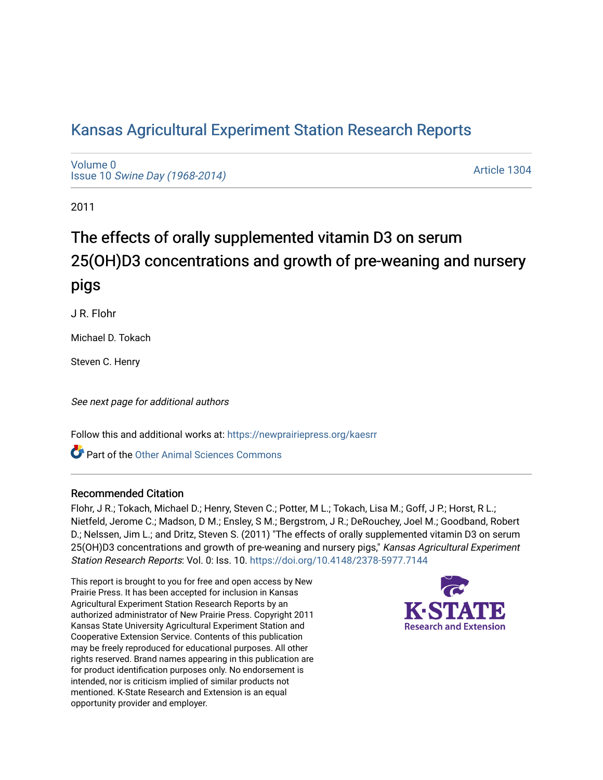## [Kansas Agricultural Experiment Station Research Reports](https://newprairiepress.org/kaesrr)

[Volume 0](https://newprairiepress.org/kaesrr/vol0) Issue 10 [Swine Day \(1968-2014\)](https://newprairiepress.org/kaesrr/vol0/iss10)

[Article 1304](https://newprairiepress.org/kaesrr/vol0/iss10/1304) 

2011

# The effects of orally supplemented vitamin D3 on serum 25(OH)D3 concentrations and growth of pre-weaning and nursery pigs

J R. Flohr

Michael D. Tokach

Steven C. Henry

See next page for additional authors

Follow this and additional works at: [https://newprairiepress.org/kaesrr](https://newprairiepress.org/kaesrr?utm_source=newprairiepress.org%2Fkaesrr%2Fvol0%2Fiss10%2F1304&utm_medium=PDF&utm_campaign=PDFCoverPages) 

Part of the [Other Animal Sciences Commons](http://network.bepress.com/hgg/discipline/82?utm_source=newprairiepress.org%2Fkaesrr%2Fvol0%2Fiss10%2F1304&utm_medium=PDF&utm_campaign=PDFCoverPages)

#### Recommended Citation

Flohr, J R.; Tokach, Michael D.; Henry, Steven C.; Potter, M L.; Tokach, Lisa M.; Goff, J P.; Horst, R L.; Nietfeld, Jerome C.; Madson, D M.; Ensley, S M.; Bergstrom, J R.; DeRouchey, Joel M.; Goodband, Robert D.; Nelssen, Jim L.; and Dritz, Steven S. (2011) "The effects of orally supplemented vitamin D3 on serum 25(OH)D3 concentrations and growth of pre-weaning and nursery pigs," Kansas Agricultural Experiment Station Research Reports: Vol. 0: Iss. 10. <https://doi.org/10.4148/2378-5977.7144>

This report is brought to you for free and open access by New Prairie Press. It has been accepted for inclusion in Kansas Agricultural Experiment Station Research Reports by an authorized administrator of New Prairie Press. Copyright 2011 Kansas State University Agricultural Experiment Station and Cooperative Extension Service. Contents of this publication may be freely reproduced for educational purposes. All other rights reserved. Brand names appearing in this publication are for product identification purposes only. No endorsement is intended, nor is criticism implied of similar products not mentioned. K-State Research and Extension is an equal opportunity provider and employer.

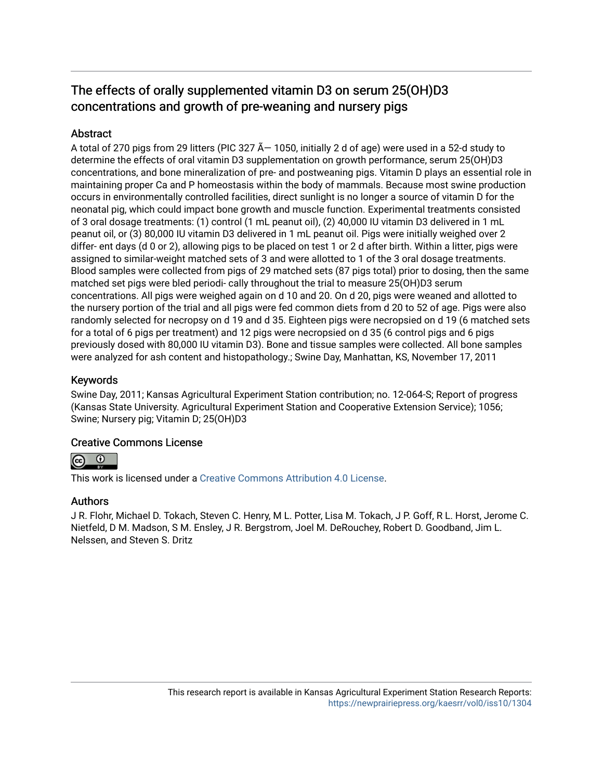## The effects of orally supplemented vitamin D3 on serum 25(OH)D3 concentrations and growth of pre-weaning and nursery pigs

## **Abstract**

A total of 270 pigs from 29 litters (PIC 327  $\tilde{A}$  – 1050, initially 2 d of age) were used in a 52-d study to determine the effects of oral vitamin D3 supplementation on growth performance, serum 25(OH)D3 concentrations, and bone mineralization of pre- and postweaning pigs. Vitamin D plays an essential role in maintaining proper Ca and P homeostasis within the body of mammals. Because most swine production occurs in environmentally controlled facilities, direct sunlight is no longer a source of vitamin D for the neonatal pig, which could impact bone growth and muscle function. Experimental treatments consisted of 3 oral dosage treatments: (1) control (1 mL peanut oil), (2) 40,000 IU vitamin D3 delivered in 1 mL peanut oil, or (3) 80,000 IU vitamin D3 delivered in 1 mL peanut oil. Pigs were initially weighed over 2 differ- ent days (d 0 or 2), allowing pigs to be placed on test 1 or 2 d after birth. Within a litter, pigs were assigned to similar-weight matched sets of 3 and were allotted to 1 of the 3 oral dosage treatments. Blood samples were collected from pigs of 29 matched sets (87 pigs total) prior to dosing, then the same matched set pigs were bled periodi- cally throughout the trial to measure 25(OH)D3 serum concentrations. All pigs were weighed again on d 10 and 20. On d 20, pigs were weaned and allotted to the nursery portion of the trial and all pigs were fed common diets from d 20 to 52 of age. Pigs were also randomly selected for necropsy on d 19 and d 35. Eighteen pigs were necropsied on d 19 (6 matched sets for a total of 6 pigs per treatment) and 12 pigs were necropsied on d 35 (6 control pigs and 6 pigs previously dosed with 80,000 IU vitamin D3). Bone and tissue samples were collected. All bone samples were analyzed for ash content and histopathology.; Swine Day, Manhattan, KS, November 17, 2011

#### Keywords

Swine Day, 2011; Kansas Agricultural Experiment Station contribution; no. 12-064-S; Report of progress (Kansas State University. Agricultural Experiment Station and Cooperative Extension Service); 1056; Swine; Nursery pig; Vitamin D; 25(OH)D3

## Creative Commons License



This work is licensed under a [Creative Commons Attribution 4.0 License](https://creativecommons.org/licenses/by/4.0/).

#### Authors

J R. Flohr, Michael D. Tokach, Steven C. Henry, M L. Potter, Lisa M. Tokach, J P. Goff, R L. Horst, Jerome C. Nietfeld, D M. Madson, S M. Ensley, J R. Bergstrom, Joel M. DeRouchey, Robert D. Goodband, Jim L. Nelssen, and Steven S. Dritz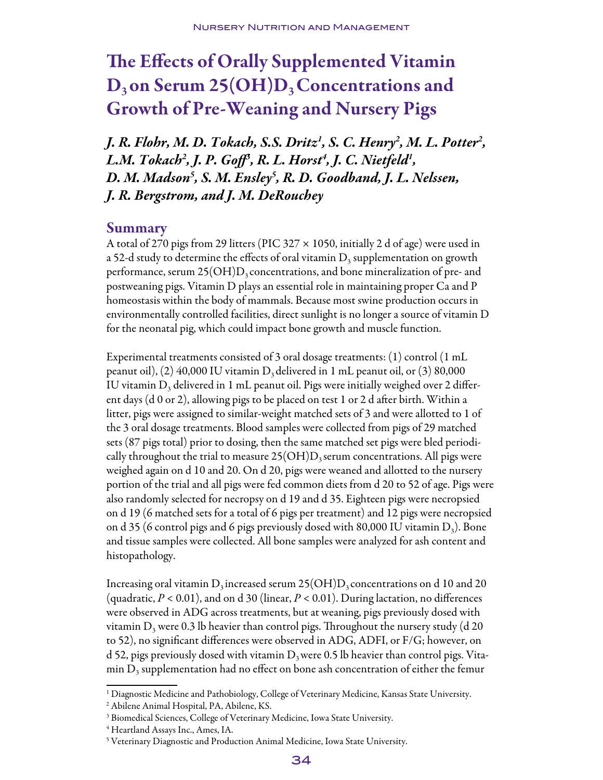# The Effects of Orally Supplemented Vitamin  $D_3$  on Serum 25(OH) $D_3$  Concentrations and Growth of Pre-Weaning and Nursery Pigs

*J. R. Flohr, M. D. Tokach, S.S. Dritz1 , S. C. Henry2 , M. L. Potter2 , L.M. Tokach2 , J. P. Goff3 , R. L. Horst4 , J. C. Nietfeld1 ,*  D. M. Madson<sup>5</sup>, S. M. Ensley<sup>5</sup>, R. D. Goodband, J. L. Nelssen, *J. R. Bergstrom, and J. M. DeRouchey*

## Summary

A total of 270 pigs from 29 litters (PIC 327  $\times$  1050, initially 2 d of age) were used in a 52-d study to determine the effects of oral vitamin  $D_3$  supplementation on growth performance, serum  $25(OH)D_3$  concentrations, and bone mineralization of pre- and postweaning pigs. Vitamin D plays an essential role in maintaining proper Ca and P homeostasis within the body of mammals. Because most swine production occurs in environmentally controlled facilities, direct sunlight is no longer a source of vitamin D for the neonatal pig, which could impact bone growth and muscle function.

Experimental treatments consisted of 3 oral dosage treatments: (1) control (1 mL peanut oil), (2) 40,000 IU vitamin  $D_3$  delivered in 1 mL peanut oil, or (3) 80,000 IU vitamin  $D_3$  delivered in 1 mL peanut oil. Pigs were initially weighed over 2 different days (d 0 or 2), allowing pigs to be placed on test 1 or 2 d after birth. Within a litter, pigs were assigned to similar-weight matched sets of 3 and were allotted to 1 of the 3 oral dosage treatments. Blood samples were collected from pigs of 29 matched sets (87 pigs total) prior to dosing, then the same matched set pigs were bled periodically throughout the trial to measure  $25(OH)D_3$  serum concentrations. All pigs were weighed again on d 10 and 20. On d 20, pigs were weaned and allotted to the nursery portion of the trial and all pigs were fed common diets from d 20 to 52 of age. Pigs were also randomly selected for necropsy on d 19 and d 35. Eighteen pigs were necropsied on d 19 (6 matched sets for a total of 6 pigs per treatment) and 12 pigs were necropsied on d 35 (6 control pigs and 6 pigs previously dosed with 80,000 IU vitamin  $D_3$ ). Bone and tissue samples were collected. All bone samples were analyzed for ash content and histopathology.

Increasing oral vitamin D<sub>3</sub> increased serum 25(OH)D<sub>3</sub> concentrations on d 10 and 20 (quadratic,  $P < 0.01$ ), and on d 30 (linear,  $P < 0.01$ ). During lactation, no differences were observed in ADG across treatments, but at weaning, pigs previously dosed with vitamin  $D_3$  were 0.3 lb heavier than control pigs. Throughout the nursery study (d 20 to 52), no significant differences were observed in ADG, ADFI, or F/G; however, on d 52, pigs previously dosed with vitamin  $D_3$  were 0.5 lb heavier than control pigs. Vitamin  $D_3$  supplementation had no effect on bone ash concentration of either the femur

<sup>&</sup>lt;sup>1</sup> Diagnostic Medicine and Pathobiology, College of Veterinary Medicine, Kansas State University.

<sup>2</sup> Abilene Animal Hospital, PA, Abilene, KS.

 $^3$  Biomedical Sciences, College of Veterinary Medicine, Iowa State University.

<sup>4</sup> Heartland Assays Inc., Ames, IA.

<sup>5</sup> Veterinary Diagnostic and Production Animal Medicine, Iowa State University.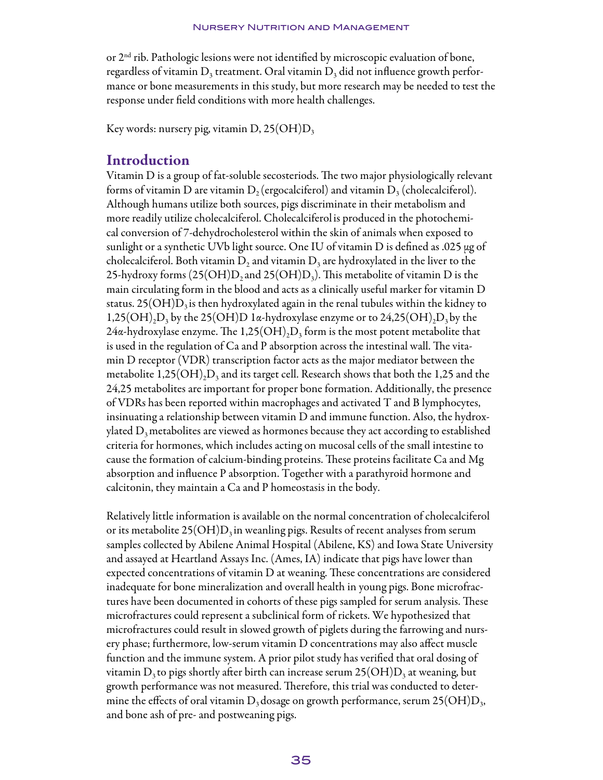or 2<sup>nd</sup> rib. Pathologic lesions were not identified by microscopic evaluation of bone, regardless of vitamin  $D_3$  treatment. Oral vitamin  $D_3$  did not influence growth performance or bone measurements in this study, but more research may be needed to test the response under field conditions with more health challenges.

Key words: nursery pig, vitamin D, 25 $(OH)D<sub>3</sub>$ 

### Introduction

Vitamin D is a group of fat-soluble secosteriods. The two major physiologically relevant forms of vitamin D are vitamin D, (ergocalciferol) and vitamin  $D_3$  (cholecalciferol). Although humans utilize both sources, pigs discriminate in their metabolism and more readily utilize cholecalciferol. Cholecalciferolis produced in the photochemical conversion of 7-dehydrocholesterol within the skin of animals when exposed to sunlight or a synthetic UVb light source. One IU of vitamin D is defined as .025 μg of cholecalciferol. Both vitamin  $D_2$  and vitamin  $D_3$  are hydroxylated in the liver to the 25-hydroxy forms  $(25(OH)D<sub>2</sub>$  and  $25(OH)D<sub>3</sub>)$ . This metabolite of vitamin D is the main circulating form in the blood and acts as a clinically useful marker for vitamin D status. 25(OH) $D_3$  is then hydroxylated again in the renal tubules within the kidney to 1,25(OH)<sub>2</sub>D<sub>3</sub> by the 25(OH)D 1 $\alpha$ -hydroxylase enzyme or to 24,25(OH)<sub>2</sub>D<sub>3</sub> by the 24α-hydroxylase enzyme. The 1,25(OH)<sub>2</sub>D<sub>3</sub> form is the most potent metabolite that is used in the regulation of Ca and P absorption across the intestinal wall. The vitamin D receptor (VDR) transcription factor acts as the major mediator between the metabolite 1,25( $OH$ )<sub>2</sub>D<sub>3</sub> and its target cell. Research shows that both the 1,25 and the 24,25 metabolites are important for proper bone formation. Additionally, the presence of VDRs has been reported within macrophages and activated T and B lymphocytes, insinuating a relationship between vitamin D and immune function. Also, the hydroxylated  $D_3$  metabolites are viewed as hormones because they act according to established criteria for hormones, which includes acting on mucosal cells of the small intestine to cause the formation of calcium-binding proteins. These proteins facilitate Ca and Mg absorption and influence P absorption. Together with a parathyroid hormone and calcitonin, they maintain a Ca and P homeostasis in the body.

Relatively little information is available on the normal concentration of cholecalciferol or its metabolite  $25(OH)D_3$  in weanling pigs. Results of recent analyses from serum samples collected by Abilene Animal Hospital (Abilene, KS) and Iowa State University and assayed at Heartland Assays Inc. (Ames, IA) indicate that pigs have lower than expected concentrations of vitamin D at weaning. These concentrations are considered inadequate for bone mineralization and overall health in young pigs. Bone microfractures have been documented in cohorts of these pigs sampled for serum analysis. These microfractures could represent a subclinical form of rickets. We hypothesized that microfractures could result in slowed growth of piglets during the farrowing and nursery phase; furthermore, low-serum vitamin D concentrations may also affect muscle function and the immune system. A prior pilot study has verified that oral dosing of vitamin  $D_3$  to pigs shortly after birth can increase serum 25(OH) $D_3$  at weaning, but growth performance was not measured. Therefore, this trial was conducted to determine the effects of oral vitamin  $D_3$  dosage on growth performance, serum 25(OH) $D_3$ , and bone ash of pre- and postweaning pigs.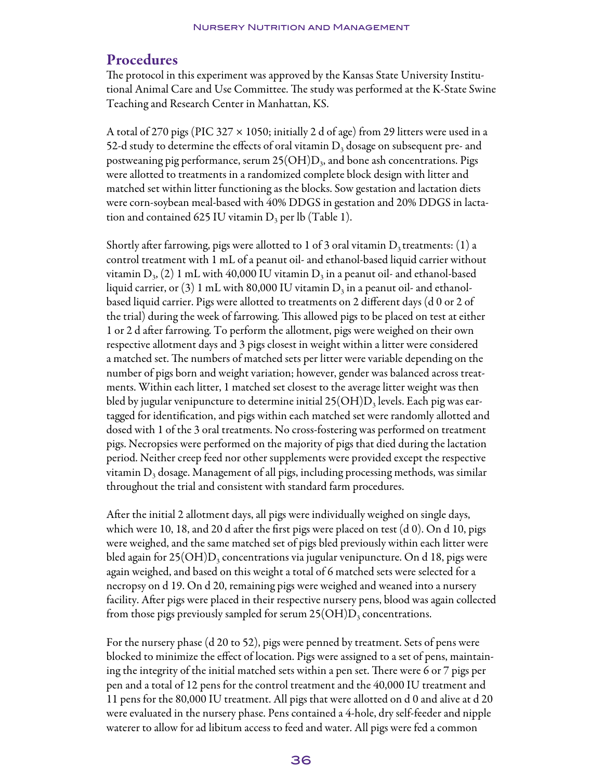## Procedures

The protocol in this experiment was approved by the Kansas State University Institutional Animal Care and Use Committee. The study was performed at the K-State Swine Teaching and Research Center in Manhattan, KS.

A total of 270 pigs (PIC 327  $\times$  1050; initially 2 d of age) from 29 litters were used in a 52-d study to determine the effects of oral vitamin  $D_3$  dosage on subsequent pre- and postweaning pig performance, serum  $25(OH)D_3$ , and bone ash concentrations. Pigs were allotted to treatments in a randomized complete block design with litter and matched set within litter functioning as the blocks. Sow gestation and lactation diets were corn-soybean meal-based with 40% DDGS in gestation and 20% DDGS in lactation and contained 625 IU vitamin  $D_3$  per lb (Table 1).

Shortly after farrowing, pigs were allotted to 1 of 3 oral vitamin  $D_3$  treatments: (1) a control treatment with 1 mL of a peanut oil- and ethanol-based liquid carrier without vitamin  $D_3$ , (2) 1 mL with 40,000 IU vitamin  $D_3$  in a peanut oil- and ethanol-based liquid carrier, or (3) 1 mL with 80,000 IU vitamin  $D_3$  in a peanut oil- and ethanolbased liquid carrier. Pigs were allotted to treatments on 2 different days (d 0 or 2 of the trial) during the week of farrowing. This allowed pigs to be placed on test at either 1 or 2 d after farrowing. To perform the allotment, pigs were weighed on their own respective allotment days and 3 pigs closest in weight within a litter were considered a matched set. The numbers of matched sets per litter were variable depending on the number of pigs born and weight variation; however, gender was balanced across treatments. Within each litter, 1 matched set closest to the average litter weight was then bled by jugular venipuncture to determine initial  $25(OH)D<sub>3</sub>$  levels. Each pig was eartagged for identification, and pigs within each matched set were randomly allotted and dosed with 1 of the 3 oral treatments. No cross-fostering was performed on treatment pigs. Necropsies were performed on the majority of pigs that died during the lactation period. Neither creep feed nor other supplements were provided except the respective vitamin  $D_3$  dosage. Management of all pigs, including processing methods, was similar throughout the trial and consistent with standard farm procedures.

After the initial 2 allotment days, all pigs were individually weighed on single days, which were 10, 18, and 20 d after the first pigs were placed on test (d 0). On d 10, pigs were weighed, and the same matched set of pigs bled previously within each litter were bled again for 25(OH)D<sub>3</sub> concentrations via jugular venipuncture. On d 18, pigs were again weighed, and based on this weight a total of 6 matched sets were selected for a necropsy on d 19. On d 20, remaining pigs were weighed and weaned into a nursery facility. After pigs were placed in their respective nursery pens, blood was again collected from those pigs previously sampled for serum  $25(OH)D_3$  concentrations.

For the nursery phase (d 20 to 52), pigs were penned by treatment. Sets of pens were blocked to minimize the effect of location. Pigs were assigned to a set of pens, maintaining the integrity of the initial matched sets within a pen set. There were 6 or 7 pigs per pen and a total of 12 pens for the control treatment and the 40,000 IU treatment and 11 pens for the 80,000 IU treatment. All pigs that were allotted on d 0 and alive at d 20 were evaluated in the nursery phase. Pens contained a 4-hole, dry self-feeder and nipple waterer to allow for ad libitum access to feed and water. All pigs were fed a common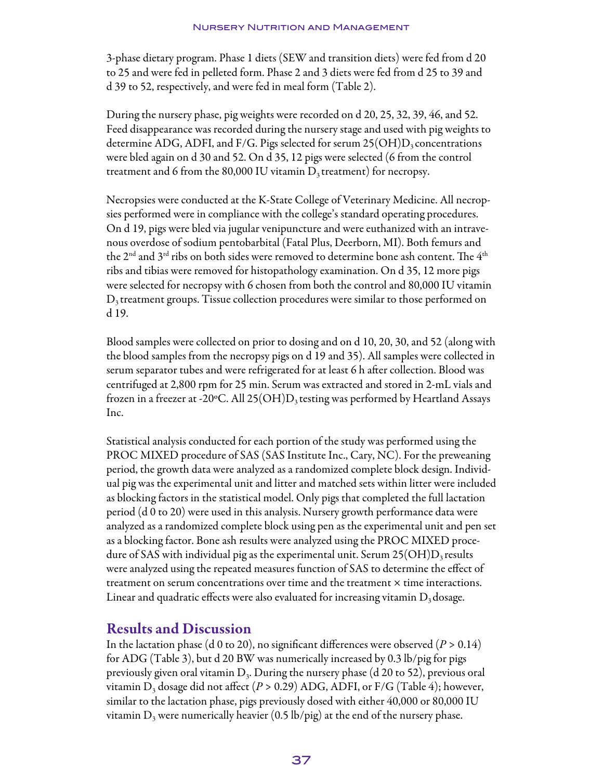3-phase dietary program. Phase 1 diets (SEW and transition diets) were fed from d 20 to 25 and were fed in pelleted form. Phase 2 and 3 diets were fed from d 25 to 39 and d 39 to 52, respectively, and were fed in meal form (Table 2).

During the nursery phase, pig weights were recorded on d 20, 25, 32, 39, 46, and 52. Feed disappearance was recorded during the nursery stage and used with pig weights to determine ADG, ADFI, and F/G. Pigs selected for serum  $25(OH)D_3$  concentrations were bled again on d 30 and 52. On d 35, 12 pigs were selected (6 from the control treatment and 6 from the 80,000 IU vitamin  $D_3$  treatment) for necropsy.

Necropsies were conducted at the K-State College of Veterinary Medicine. All necropsies performed were in compliance with the college's standard operating procedures. On d 19, pigs were bled via jugular venipuncture and were euthanized with an intravenous overdose of sodium pentobarbital (Fatal Plus, Deerborn, MI). Both femurs and the 2<sup>nd</sup> and 3<sup>rd</sup> ribs on both sides were removed to determine bone ash content. The  $4<sup>th</sup>$ ribs and tibias were removed for histopathology examination. On d 35, 12 more pigs were selected for necropsy with 6 chosen from both the control and 80,000 IU vitamin  $D_3$  treatment groups. Tissue collection procedures were similar to those performed on d 19.

Blood samples were collected on prior to dosing and on d 10, 20, 30, and 52 (along with the blood samples from the necropsy pigs on d 19 and 35). All samples were collected in serum separator tubes and were refrigerated for at least 6 h after collection. Blood was centrifuged at 2,800 rpm for 25 min. Serum was extracted and stored in 2-mL vials and frozen in a freezer at -20°C. All 25(OH)D<sub>3</sub> testing was performed by Heartland Assays Inc.

Statistical analysis conducted for each portion of the study was performed using the PROC MIXED procedure of SAS (SAS Institute Inc., Cary, NC). For the preweaning period, the growth data were analyzed as a randomized complete block design. Individual pig was the experimental unit and litter and matched sets within litter were included as blocking factors in the statistical model. Only pigs that completed the full lactation period (d 0 to 20) were used in this analysis. Nursery growth performance data were analyzed as a randomized complete block using pen as the experimental unit and pen set as a blocking factor. Bone ash results were analyzed using the PROC MIXED procedure of SAS with individual pig as the experimental unit. Serum 25(OH) $D_3$  results were analyzed using the repeated measures function of SAS to determine the effect of treatment on serum concentrations over time and the treatment  $\times$  time interactions. Linear and quadratic effects were also evaluated for increasing vitamin  $D_3$  dosage.

## Results and Discussion

In the lactation phase (d 0 to 20), no significant differences were observed ( $P > 0.14$ ) for ADG (Table 3), but d 20 BW was numerically increased by 0.3 lb/pig for pigs previously given oral vitamin  $D_3$ . During the nursery phase (d 20 to 52), previous oral vitamin D<sub>3</sub> dosage did not affect ( $P > 0.29$ ) ADG, ADFI, or F/G (Table 4); however, similar to the lactation phase, pigs previously dosed with either 40,000 or 80,000 IU vitamin  $D_3$  were numerically heavier (0.5 lb/pig) at the end of the nursery phase.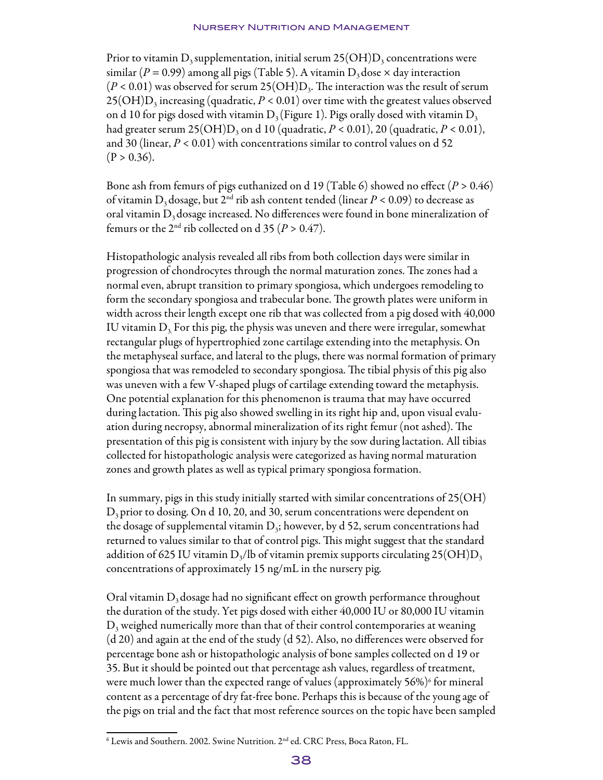Prior to vitamin D<sub>3</sub> supplementation, initial serum  $25(OH)D<sub>3</sub>$  concentrations were similar ( $P = 0.99$ ) among all pigs (Table 5). A vitamin  $D_3$  dose  $\times$  day interaction  $(P < 0.01)$  was observed for serum 25(OH)D<sub>3</sub>. The interaction was the result of serum  $25(OH)D<sub>3</sub>$  increasing (quadratic,  $P < 0.01$ ) over time with the greatest values observed on d 10 for pigs dosed with vitamin  $D_3$  (Figure 1). Pigs orally dosed with vitamin  $D_3$ had greater serum  $25(OH)D_3$  on d 10 (quadratic,  $P < 0.01$ ), 20 (quadratic,  $P < 0.01$ ), and 30 (linear,  $P < 0.01$ ) with concentrations similar to control values on d 52  $(P > 0.36)$ .

Bone ash from femurs of pigs euthanized on d 19 (Table 6) showed no effect ( $P > 0.46$ ) of vitamin D<sub>3</sub> dosage, but 2<sup>nd</sup> rib ash content tended (linear  $P < 0.09$ ) to decrease as oral vitamin  $D_3$  dosage increased. No differences were found in bone mineralization of femurs or the 2<sup>nd</sup> rib collected on d 35 ( $P > 0.47$ ).

Histopathologic analysis revealed all ribs from both collection days were similar in progression of chondrocytes through the normal maturation zones. The zones had a normal even, abrupt transition to primary spongiosa, which undergoes remodeling to form the secondary spongiosa and trabecular bone. The growth plates were uniform in width across their length except one rib that was collected from a pig dosed with 40,000 IU vitamin  $D_3$ . For this pig, the physis was uneven and there were irregular, somewhat rectangular plugs of hypertrophied zone cartilage extending into the metaphysis. On the metaphyseal surface, and lateral to the plugs, there was normal formation of primary spongiosa that was remodeled to secondary spongiosa. The tibial physis of this pig also was uneven with a few V-shaped plugs of cartilage extending toward the metaphysis. One potential explanation for this phenomenon is trauma that may have occurred during lactation. This pig also showed swelling in its right hip and, upon visual evaluation during necropsy, abnormal mineralization of its right femur (not ashed). The presentation of this pig is consistent with injury by the sow during lactation. All tibias collected for histopathologic analysis were categorized as having normal maturation zones and growth plates as well as typical primary spongiosa formation.

In summary, pigs in this study initially started with similar concentrations of 25(OH)  $D_3$  prior to dosing. On d 10, 20, and 30, serum concentrations were dependent on the dosage of supplemental vitamin  $D_3$ ; however, by d 52, serum concentrations had returned to values similar to that of control pigs. This might suggest that the standard addition of 625 IU vitamin D<sub>3</sub>/lb of vitamin premix supports circulating 25(OH)D<sub>3</sub> concentrations of approximately 15 ng/mL in the nursery pig.

Oral vitamin  $D_3$  dosage had no significant effect on growth performance throughout the duration of the study. Yet pigs dosed with either 40,000 IU or 80,000 IU vitamin  $D_3$  weighed numerically more than that of their control contemporaries at weaning (d 20) and again at the end of the study (d 52). Also, no differences were observed for percentage bone ash or histopathologic analysis of bone samples collected on d 19 or 35. But it should be pointed out that percentage ash values, regardless of treatment, were much lower than the expected range of values (approximately 56%) $^{\rm 6}$  for mineral content as a percentage of dry fat-free bone. Perhaps this is because of the young age of the pigs on trial and the fact that most reference sources on the topic have been sampled

 $^6$  Lewis and Southern. 2002. Swine Nutrition. 2 $^{\rm nd}$  ed. CRC Press, Boca Raton, FL.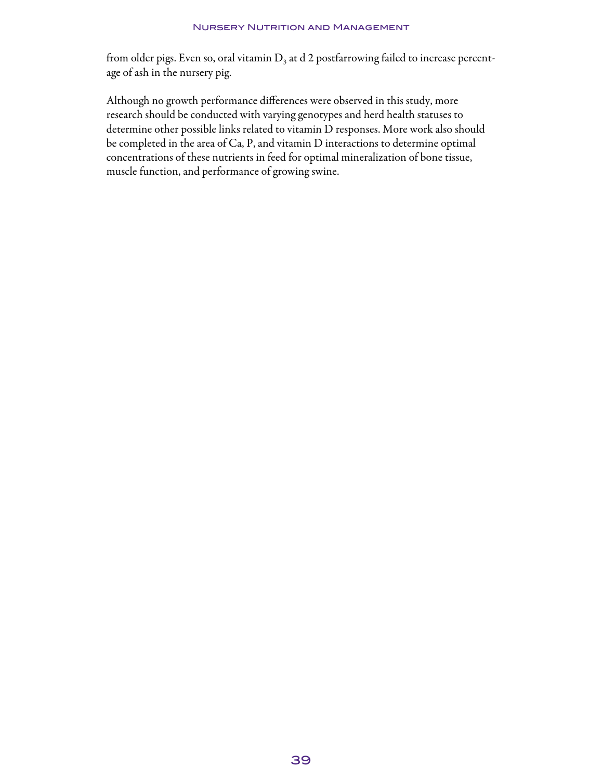from older pigs. Even so, oral vitamin  $D_3$  at d 2 postfarrowing failed to increase percentage of ash in the nursery pig.

Although no growth performance differences were observed in this study, more research should be conducted with varying genotypes and herd health statuses to determine other possible links related to vitamin D responses. More work also should be completed in the area of Ca, P, and vitamin D interactions to determine optimal concentrations of these nutrients in feed for optimal mineralization of bone tissue, muscle function, and performance of growing swine.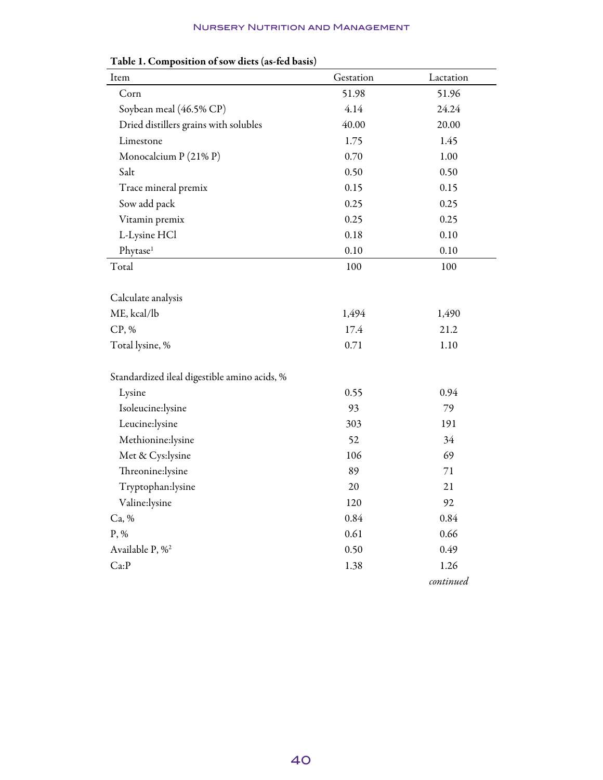| Item                                         | Gestation | Lactation |
|----------------------------------------------|-----------|-----------|
| Corn                                         | 51.98     | 51.96     |
| Soybean meal (46.5% CP)                      | 4.14      | 24.24     |
| Dried distillers grains with solubles        | 40.00     | 20.00     |
| Limestone                                    | 1.75      | 1.45      |
| Monocalcium $P(21\% P)$                      | 0.70      | 1.00      |
| Salt                                         | 0.50      | 0.50      |
| Trace mineral premix                         | 0.15      | 0.15      |
| Sow add pack                                 | 0.25      | 0.25      |
| Vitamin premix                               | 0.25      | 0.25      |
| L-Lysine HCl                                 | 0.18      | 0.10      |
| Phytase <sup>1</sup>                         | 0.10      | 0.10      |
| Total                                        | 100       | 100       |
| Calculate analysis                           |           |           |
| ME, kcal/lb                                  | 1,494     | 1,490     |
| CP, %                                        | 17.4      | 21.2      |
| Total lysine, %                              | 0.71      | 1.10      |
| Standardized ileal digestible amino acids, % |           |           |
| Lysine                                       | 0.55      | 0.94      |
| Isoleucine:lysine                            | 93        | 79        |
| Leucine:lysine                               | 303       | 191       |
| Methionine:lysine                            | 52        | 34        |
| Met & Cys:lysine                             | 106       | 69        |
| Threonine:lysine                             | 89        | 71        |
| Tryptophan:lysine                            | 20        | 21        |
| Valine:lysine                                | 120       | 92        |
| Ca, %                                        | 0.84      | 0.84      |
| P, %                                         | 0.61      | 0.66      |
| Available P, % <sup>2</sup>                  | 0.50      | 0.49      |
| Ca:P                                         | 1.38      | 1.26      |
|                                              |           | continued |

Table 1. Composition of sow diets (as-fed basis)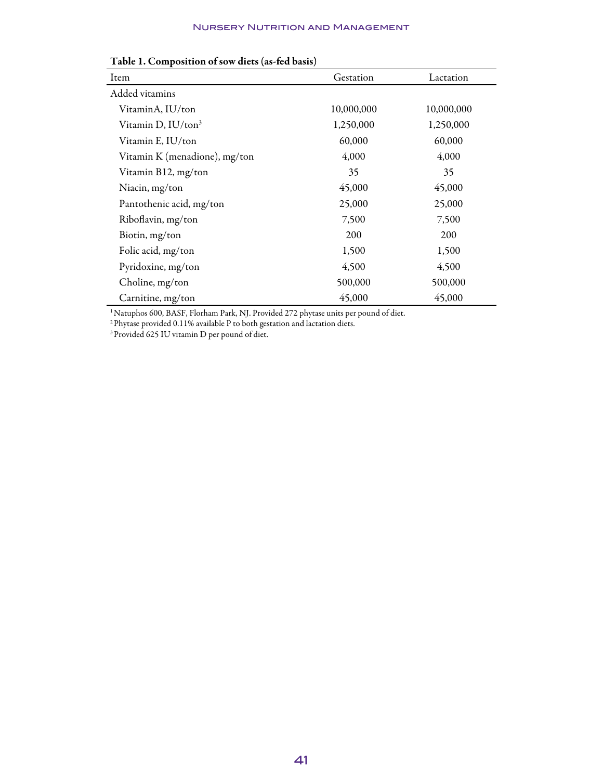| Twice it composition of some dicts (as fed basis) |            |            |
|---------------------------------------------------|------------|------------|
| Item                                              | Gestation  | Lactation  |
| Added vitamins                                    |            |            |
| VitaminA, IU/ton                                  | 10,000,000 | 10,000,000 |
| Vitamin D, IU/ton <sup>3</sup>                    | 1,250,000  | 1,250,000  |
| Vitamin E, IU/ton                                 | 60,000     | 60,000     |
| Vitamin K (menadione), mg/ton                     | 4,000      | 4,000      |
| Vitamin B12, mg/ton                               | 35         | 35         |
| Niacin, mg/ton                                    | 45,000     | 45,000     |
| Pantothenic acid, mg/ton                          | 25,000     | 25,000     |
| Riboflavin, mg/ton                                | 7,500      | 7,500      |
| Biotin, mg/ton                                    | 200        | 200        |
| Folic acid, mg/ton                                | 1,500      | 1,500      |
| Pyridoxine, mg/ton                                | 4,500      | 4,500      |
| Choline, mg/ton                                   | 500,000    | 500,000    |
| Carnitine, mg/ton                                 | 45,000     | 45,000     |

## Table 1. Composition of sow diets (as-fed basis)

1 Natuphos 600, BASF, Florham Park, NJ. Provided 272 phytase units per pound of diet.

<sup>2</sup> Phytase provided 0.11% available P to both gestation and lactation diets.

<sup>3</sup> Provided 625 IU vitamin D per pound of diet.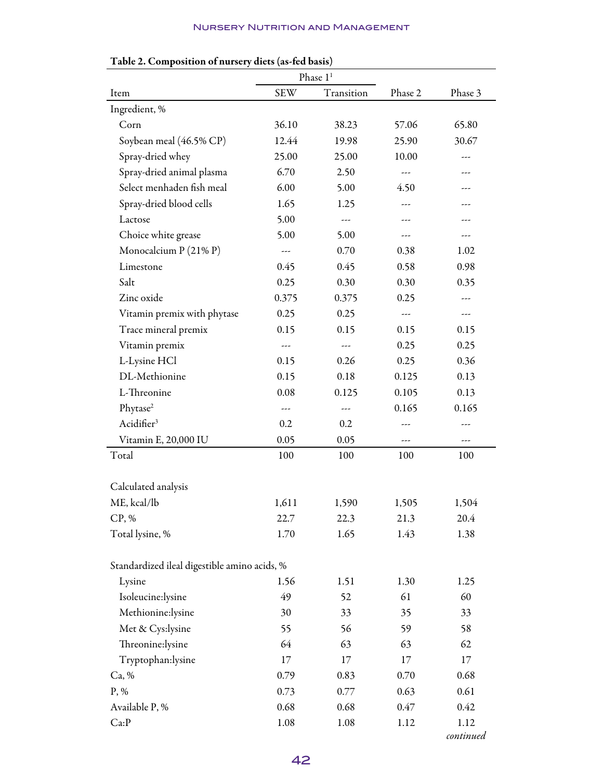| $\frac{1}{2}$ . Composition of huiser,       | $\frac{1}{2}$<br>Phase $11$ |            |         |         |
|----------------------------------------------|-----------------------------|------------|---------|---------|
| Item                                         | <b>SEW</b>                  | Transition | Phase 2 | Phase 3 |
| Ingredient, %                                |                             |            |         |         |
| Corn                                         | 36.10                       | 38.23      | 57.06   | 65.80   |
| Soybean meal (46.5% CP)                      | 12.44                       | 19.98      | 25.90   | 30.67   |
| Spray-dried whey                             | 25.00                       | 25.00      | 10.00   | ---     |
| Spray-dried animal plasma                    | 6.70                        | 2.50       | ---     |         |
| Select menhaden fish meal                    | 6.00                        | 5.00       | 4.50    | ---     |
| Spray-dried blood cells                      | 1.65                        | 1.25       | ---     |         |
| Lactose                                      | 5.00                        | ---        | ---     |         |
| Choice white grease                          | 5.00                        | 5.00       | ---     | ---     |
| Monocalcium $P(21\% P)$                      | ---                         | 0.70       | 0.38    | 1.02    |
| Limestone                                    | 0.45                        | 0.45       | 0.58    | 0.98    |
| Salt                                         | 0.25                        | 0.30       | 0.30    | 0.35    |
| Zinc oxide                                   | 0.375                       | 0.375      | 0.25    | ---     |
| Vitamin premix with phytase                  | 0.25                        | 0.25       | ---     | ---     |
| Trace mineral premix                         | 0.15                        | 0.15       | 0.15    | 0.15    |
| Vitamin premix                               | ---                         | ---        | 0.25    | 0.25    |
| L-Lysine HCl                                 | 0.15                        | 0.26       | 0.25    | 0.36    |
| DL-Methionine                                | 0.15                        | 0.18       | 0.125   | 0.13    |
| L-Threonine                                  | 0.08                        | 0.125      | 0.105   | 0.13    |
| Phytase <sup>2</sup>                         | ---                         | ---        | 0.165   | 0.165   |
| Acidifier <sup>3</sup>                       | 0.2                         | 0.2        |         |         |
| Vitamin E, 20,000 IU                         | 0.05                        | 0.05       |         |         |
| Total                                        | 100                         | 100        | 100     | 100     |
|                                              |                             |            |         |         |
| Calculated analysis                          |                             |            |         |         |
| ME, kcal/lb                                  | 1,611                       | 1,590      | 1,505   | 1,504   |
| CP, %                                        | 22.7                        | 22.3       | 21.3    | 20.4    |
| Total lysine, %                              | 1.70                        | 1.65       | 1.43    | 1.38    |
| Standardized ileal digestible amino acids, % |                             |            |         |         |
| Lysine                                       | 1.56                        | 1.51       | 1.30    | 1.25    |
| Isoleucine:lysine                            | 49                          | 52         | 61      | 60      |
| Methionine:lysine                            | 30                          | 33         | 35      | 33      |
| Met & Cys:lysine                             | 55                          | 56         | 59      | 58      |
| Threonine:lysine                             | 64                          | 63         | 63      | 62      |
| Tryptophan:lysine                            | 17                          | 17         | 17      | 17      |
| Ca, %                                        | 0.79                        | 0.83       | 0.70    | 0.68    |
| $P, \%$                                      | 0.73                        | 0.77       | 0.63    | 0.61    |
| Available P, %                               | 0.68                        | 0.68       | 0.47    | 0.42    |
| Ca:P                                         | 1.08                        | 1.08       | 1.12    | 1.12    |

| Table 2. Composition of nursery diets (as-fed basis) |  |  |
|------------------------------------------------------|--|--|
|                                                      |  |  |

*continued*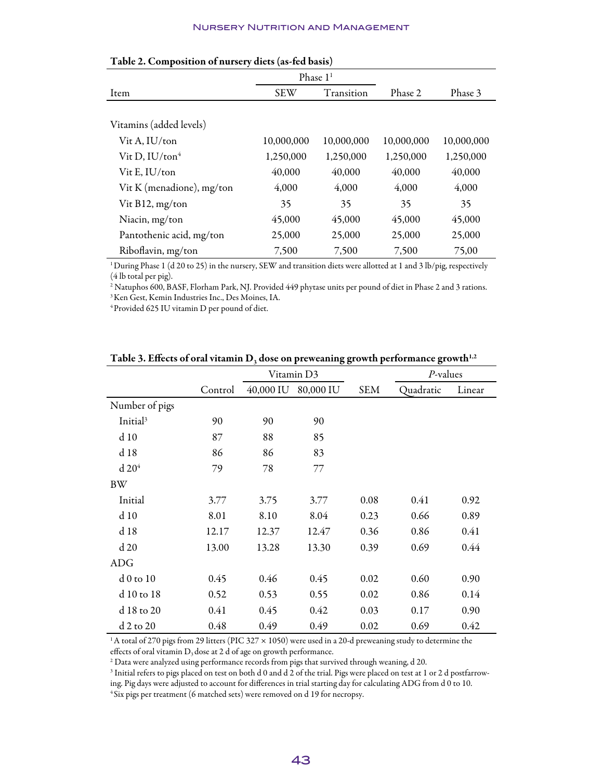|                           | Tuble 2. Composition of huisery dicts (as fed basis) |            |            |            |  |  |  |  |  |
|---------------------------|------------------------------------------------------|------------|------------|------------|--|--|--|--|--|
|                           | Phase $11$                                           |            |            |            |  |  |  |  |  |
| Item                      | <b>SEW</b>                                           | Transition | Phase 2    | Phase 3    |  |  |  |  |  |
|                           |                                                      |            |            |            |  |  |  |  |  |
| Vitamins (added levels)   |                                                      |            |            |            |  |  |  |  |  |
| Vit A, IU/ton             | 10,000,000                                           | 10,000,000 | 10,000,000 | 10,000,000 |  |  |  |  |  |
| Vit D, $IU/ton4$          | 1,250,000                                            | 1,250,000  | 1,250,000  | 1,250,000  |  |  |  |  |  |
| Vit E, $IU/ton$           | 40,000                                               | 40,000     | 40,000     | 40,000     |  |  |  |  |  |
| Vit K (menadione), mg/ton | 4,000                                                | 4,000      | 4,000      | 4,000      |  |  |  |  |  |
| Vit $B12$ , mg/ton        | 35                                                   | 35         | 35         | 35         |  |  |  |  |  |
| Niacin, mg/ton            | 45,000                                               | 45,000     | 45,000     | 45,000     |  |  |  |  |  |
| Pantothenic acid, mg/ton  | 25,000                                               | 25,000     | 25,000     | 25,000     |  |  |  |  |  |
| Riboflavin, mg/ton        | 7,500                                                | 7,500      | 7,500      | 75,00      |  |  |  |  |  |

#### Table 2. Composition of nursery diets (as-fed basis)

<sup>1</sup> During Phase 1 (d 20 to 25) in the nursery, SEW and transition diets were allotted at 1 and 3 lb/pig, respectively (4 lb total per pig).

2 Natuphos 600, BASF, Florham Park, NJ. Provided 449 phytase units per pound of diet in Phase 2 and 3 rations. 3 Ken Gest, Kemin Industries Inc., Des Moines, IA.

4 Provided 625 IU vitamin D per pound of diet.

|                      | Vitamin D3 |           |           | P-values   |           |        |
|----------------------|------------|-----------|-----------|------------|-----------|--------|
|                      | Control    | 40,000 IU | 80,000 IU | <b>SEM</b> | Quadratic | Linear |
| Number of pigs       |            |           |           |            |           |        |
| Initial <sup>3</sup> | 90         | 90        | 90        |            |           |        |
| d10                  | 87         | 88        | 85        |            |           |        |
| d 18                 | 86         | 86        | 83        |            |           |        |
| $d$ 20 <sup>4</sup>  | 79         | 78        | 77        |            |           |        |
| BW                   |            |           |           |            |           |        |
| Initial              | 3.77       | 3.75      | 3.77      | 0.08       | 0.41      | 0.92   |
| d10                  | 8.01       | 8.10      | 8.04      | 0.23       | 0.66      | 0.89   |
| d 18                 | 12.17      | 12.37     | 12.47     | 0.36       | 0.86      | 0.41   |
| d20                  | 13.00      | 13.28     | 13.30     | 0.39       | 0.69      | 0.44   |
| ADG                  |            |           |           |            |           |        |
| $d0$ to $10$         | 0.45       | 0.46      | 0.45      | 0.02       | 0.60      | 0.90   |
| d 10 to 18           | 0.52       | 0.53      | 0.55      | 0.02       | 0.86      | 0.14   |
| d 18 to 20           | 0.41       | 0.45      | 0.42      | 0.03       | 0.17      | 0.90   |
| d 2 to 20            | 0.48       | 0.49      | 0.49      | 0.02       | 0.69      | 0.42   |

<sup>1</sup>A total of 270 pigs from 29 litters (PIC 327  $\times$  1050) were used in a 20-d preweaning study to determine the effects of oral vitamin  $D_3$  dose at 2 d of age on growth performance.

 $^{\rm 2}$  Data were analyzed using performance records from pigs that survived through weaning, d 20.

 $^3$  Initial refers to pigs placed on test on both d 0 and d 2 of the trial. Pigs were placed on test at 1 or 2 d postfarrowing. Pig days were adjusted to account for differences in trial starting day for calculating ADG from d 0 to 10.

<sup>4</sup> Six pigs per treatment (6 matched sets) were removed on d 19 for necropsy.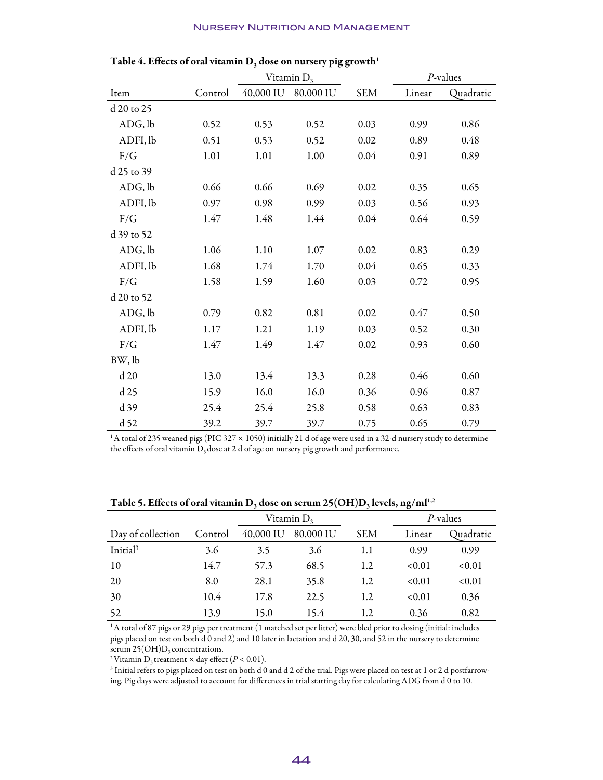|            |         | Vitamin $D_3$ |           |            | $P$ -values |           |
|------------|---------|---------------|-----------|------------|-------------|-----------|
| Item       | Control | 40,000 IU     | 80,000 IU | <b>SEM</b> | Linear      | Quadratic |
| d 20 to 25 |         |               |           |            |             |           |
| ADG, lb    | 0.52    | 0.53          | 0.52      | 0.03       | 0.99        | 0.86      |
| ADFI, lb   | 0.51    | 0.53          | 0.52      | 0.02       | 0.89        | 0.48      |
| F/G        | 1.01    | 1.01          | 1.00      | 0.04       | 0.91        | 0.89      |
| d 25 to 39 |         |               |           |            |             |           |
| ADG, lb    | 0.66    | 0.66          | 0.69      | 0.02       | 0.35        | 0.65      |
| ADFI, lb   | 0.97    | 0.98          | 0.99      | 0.03       | 0.56        | 0.93      |
| F/G        | 1.47    | 1.48          | 1.44      | $0.04\,$   | 0.64        | 0.59      |
| d 39 to 52 |         |               |           |            |             |           |
| ADG, lb    | 1.06    | 1.10          | 1.07      | $0.02\,$   | 0.83        | 0.29      |
| ADFI, lb   | 1.68    | 1.74          | 1.70      | 0.04       | 0.65        | 0.33      |
| F/G        | 1.58    | 1.59          | 1.60      | 0.03       | 0.72        | 0.95      |
| d 20 to 52 |         |               |           |            |             |           |
| ADG, lb    | 0.79    | 0.82          | 0.81      | 0.02       | 0.47        | 0.50      |
| ADFI, lb   | 1.17    | 1.21          | 1.19      | 0.03       | 0.52        | 0.30      |
| F/G        | 1.47    | 1.49          | 1.47      | $0.02\,$   | 0.93        | 0.60      |
| BW, lb     |         |               |           |            |             |           |
| d20        | 13.0    | 13.4          | 13.3      | 0.28       | 0.46        | 0.60      |
| d25        | 15.9    | 16.0          | 16.0      | 0.36       | 0.96        | 0.87      |
| d 39       | 25.4    | 25.4          | 25.8      | 0.58       | 0.63        | 0.83      |
| d 52       | 39.2    | 39.7          | 39.7      | 0.75       | 0.65        | 0.79      |

| Table 4. Effects of oral vitamin $D_3$ dose on nursery pig growth $^1$ |  |
|------------------------------------------------------------------------|--|

<sup>1</sup> A total of 235 weaned pigs (PIC 327  $\times$  1050) initially 21 d of age were used in a 32-d nursery study to determine the effects of oral vitamin  $D_3$  dose at 2 d of age on nursery pig growth and performance.

| $2.0014$ $\frac{1}{2}$ $\frac{1}{2}$ $\frac{1}{2}$ $\frac{1}{2}$ $\frac{1}{2}$ $\frac{1}{2}$ $\frac{1}{2}$ $\frac{1}{2}$ $\frac{1}{2}$ $\frac{1}{2}$ $\frac{1}{2}$ $\frac{1}{2}$ $\frac{1}{2}$ $\frac{1}{2}$ $\frac{1}{2}$ $\frac{1}{2}$ $\frac{1}{2}$ $\frac{1}{2}$ $\frac{1}{2}$ $\frac{1}{2}$ $\frac{1}{2}$ $\$ |               |           |           |            |        |                  |
|--------------------------------------------------------------------------------------------------------------------------------------------------------------------------------------------------------------------------------------------------------------------------------------------------------------------|---------------|-----------|-----------|------------|--------|------------------|
|                                                                                                                                                                                                                                                                                                                    | Vitamin $D_3$ |           |           |            |        | <i>P</i> -values |
| Day of collection                                                                                                                                                                                                                                                                                                  | Control       | 40,000 IU | 80,000 IU | <b>SEM</b> | Linear | Quadratic        |
| Initial <sup>3</sup>                                                                                                                                                                                                                                                                                               | 3.6           | 3.5       | 3.6       | 1.1        | 0.99   | 0.99             |
| -10                                                                                                                                                                                                                                                                                                                | 14.7          | 57.3      | 68.5      | 1.2        | < 0.01 | < 0.01           |
| 20                                                                                                                                                                                                                                                                                                                 | 8.0           | 28.1      | 35.8      | 1.2        | < 0.01 | < 0.01           |
| 30                                                                                                                                                                                                                                                                                                                 | 10.4          | 17.8      | 22.5      | 1.2        | < 0.01 | 0.36             |
| 52                                                                                                                                                                                                                                                                                                                 | 13.9          | 15.0      | 15.4      | 1.2        | 0.36   | 0.82             |

<sup>1</sup>A total of 87 pigs or 29 pigs per treatment (1 matched set per litter) were bled prior to dosing (initial: includes pigs placed on test on both d 0 and 2) and 10 later in lactation and d 20, 30, and 52 in the nursery to determine serum  $25(OH)D_3$  concentrations.

<sup>2</sup> Vitamin D<sub>3</sub> treatment  $\times$  day effect (*P* < 0.01).

 $^3$  Initial refers to pigs placed on test on both d 0 and d 2 of the trial. Pigs were placed on test at 1 or 2 d postfarrowing. Pig days were adjusted to account for differences in trial starting day for calculating ADG from d 0 to 10.